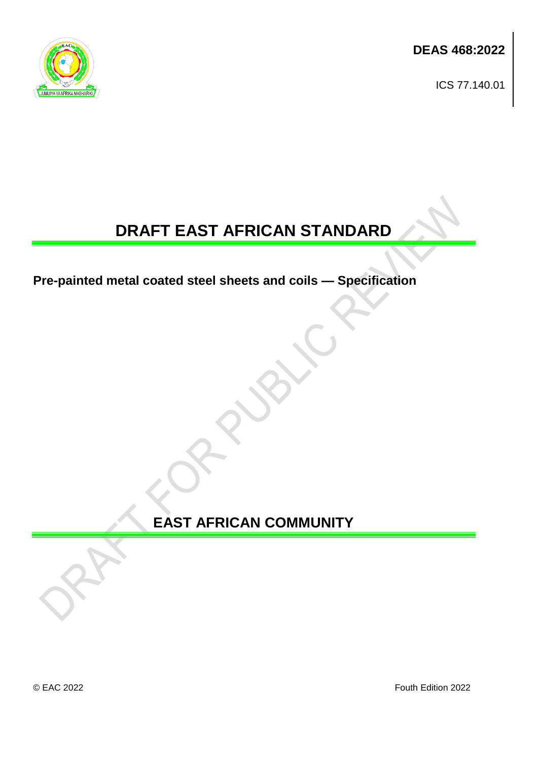**DEAS 468:2022**

ICS 77.140.01



# **DRAFT EAST AFRICAN STANDARD**

**Pre-painted metal coated steel sheets and coils — Specification**

**EAST AFRICAN COMMUNITY**

© EAC 2022 Fouth Edition 2022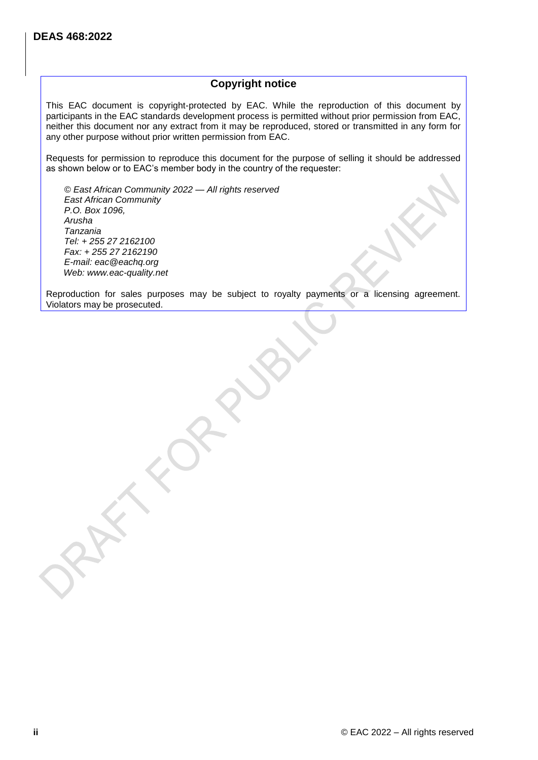# **Copyright notice**

This EAC document is copyright-protected by EAC. While the reproduction of this document by participants in the EAC standards development process is permitted without prior permission from EAC, neither this document nor any extract from it may be reproduced, stored or transmitted in any form for any other purpose without prior written permission from EAC.

Requests for permission to reproduce this document for the purpose of selling it should be addressed as shown below or to EAC's member body in the country of the requester:

*© East African Community 2022 — All rights reserved East African Community P.O. Box 1096, Arusha Tanzania Tel: + 255 27 2162100 Fax: + 255 27 2162190 E-mail: eac@eachq.org Web: www.eac-quality.net*

Reproduction for sales purposes may be subject to royalty payments or a licensing agreement. Violators may be prosecuted.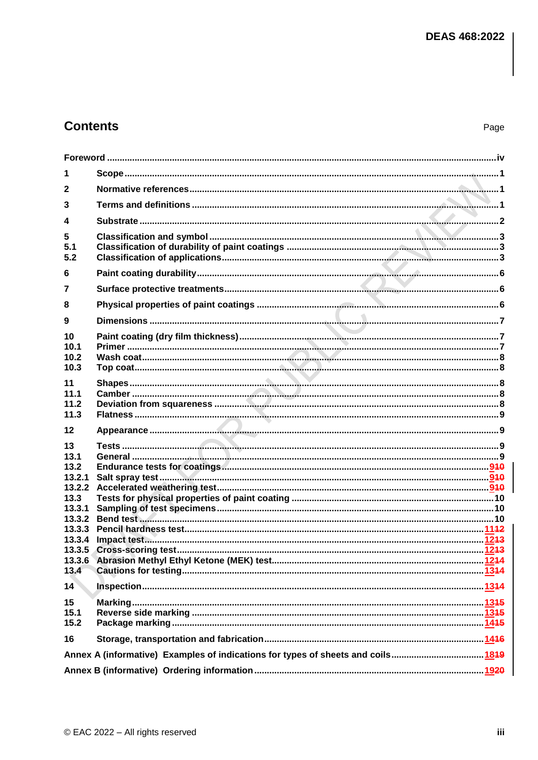# **Contents**

| 1                                  |                                                                                 |  |
|------------------------------------|---------------------------------------------------------------------------------|--|
| $\mathbf 2$                        |                                                                                 |  |
| 3                                  |                                                                                 |  |
| 4                                  |                                                                                 |  |
| 5<br>5.1<br>5.2                    |                                                                                 |  |
| 6                                  |                                                                                 |  |
| 7                                  |                                                                                 |  |
| 8                                  |                                                                                 |  |
| 9                                  |                                                                                 |  |
| 10<br>10.1<br>10.2<br>10.3         |                                                                                 |  |
| 11<br>11.1<br>11.2<br>11.3         |                                                                                 |  |
| 12                                 |                                                                                 |  |
| 13<br>13.1<br>13.2<br>13.2.1       |                                                                                 |  |
| 13.2.2                             |                                                                                 |  |
| 13.3<br>13.3.1<br>13.3.2<br>13.3.3 |                                                                                 |  |
| 13.3.4                             |                                                                                 |  |
| 13.4                               |                                                                                 |  |
| 14                                 |                                                                                 |  |
| 15<br>15.1<br>15.2                 |                                                                                 |  |
| 16                                 |                                                                                 |  |
|                                    | Annex A (informative) Examples of indications for types of sheets and coils1849 |  |
|                                    |                                                                                 |  |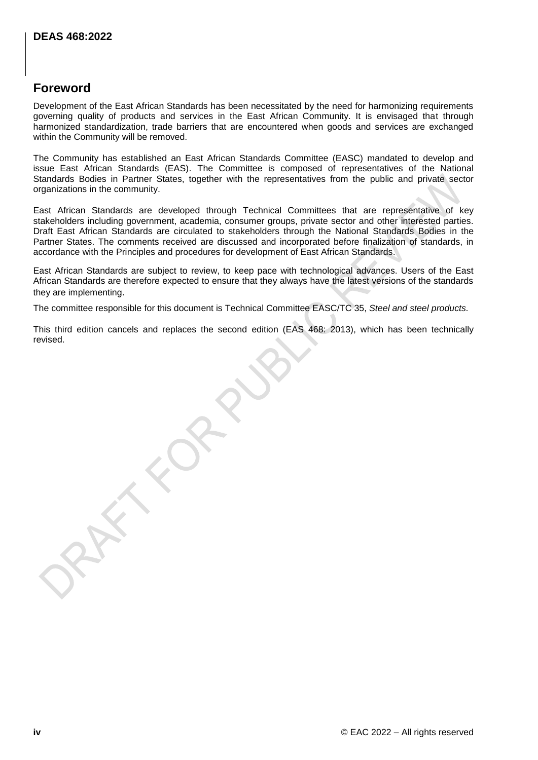# <span id="page-4-0"></span>**Foreword**

Development of the East African Standards has been necessitated by the need for harmonizing requirements governing quality of products and services in the East African Community. It is envisaged that through harmonized standardization, trade barriers that are encountered when goods and services are exchanged within the Community will be removed.

The Community has established an East African Standards Committee (EASC) mandated to develop and issue East African Standards (EAS). The Committee is composed of representatives of the National Standards Bodies in Partner States, together with the representatives from the public and private sector organizations in the community.

East African Standards are developed through Technical Committees that are representative of key stakeholders including government, academia, consumer groups, private sector and other interested parties. Draft East African Standards are circulated to stakeholders through the National Standards Bodies in the Partner States. The comments received are discussed and incorporated before finalization of standards, in accordance with the Principles and procedures for development of East African Standards.

East African Standards are subject to review, to keep pace with technological advances. Users of the East African Standards are therefore expected to ensure that they always have the latest versions of the standards they are implementing.

The committee responsible for this document is Technical Committee EASC/TC 35, *Steel and steel products.*

This third edition cancels and replaces the second edition (EAS 468: 2013), which has been technically revised.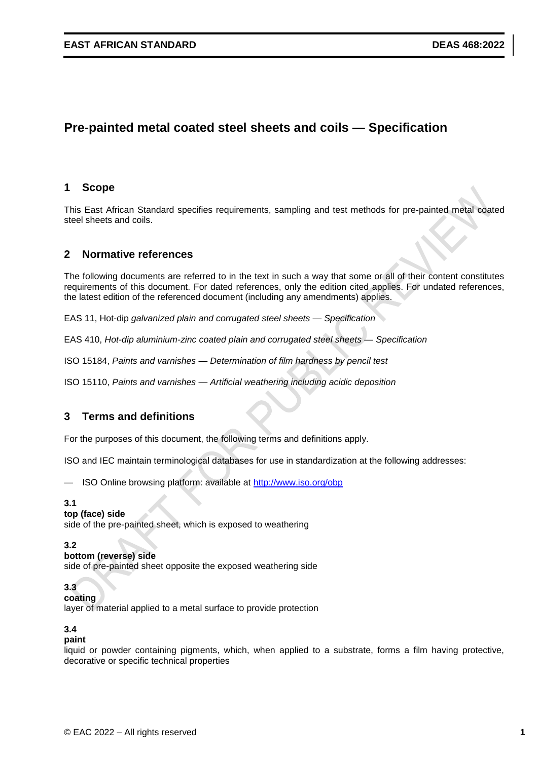# **Pre-painted metal coated steel sheets and coils — Specification**

# <span id="page-5-0"></span>**1 Scope**

This East African Standard specifies requirements, sampling and test methods for pre-painted metal coated steel sheets and coils.

# <span id="page-5-1"></span>**2 Normative references**

The following documents are referred to in the text in such a way that some or all of their content constitutes requirements of this document. For dated references, only the edition cited applies. For undated references, the latest edition of the referenced document (including any amendments) applies.

EAS 11, Hot-dip *galvanized plain and corrugated steel sheets — Specification*

EAS 410, *Hot-dip aluminium-zinc coated plain and corrugated steel sheets — Specification*

ISO 15184, *Paints and varnishes — Determination of film hardness by pencil test*

ISO 15110, *Paints and varnishes — Artificial weathering including acidic deposition*

# <span id="page-5-2"></span>**3 Terms and definitions**

For the purposes of this document, the following terms and definitions apply.

ISO and IEC maintain terminological databases for use in standardization at the following addresses:

— ISO Online browsing platform: available at<http://www.iso.org/obp>

#### **3.1**

#### **top (face) side**

side of the pre-painted sheet, which is exposed to weathering

#### **3.2**

#### **bottom (reverse) side**

side of pre-painted sheet opposite the exposed weathering side

# **3.3**

**coating** 

layer of material applied to a metal surface to provide protection

# **3.4**

#### **paint**

liquid or powder containing pigments, which, when applied to a substrate, forms a film having protective, decorative or specific technical properties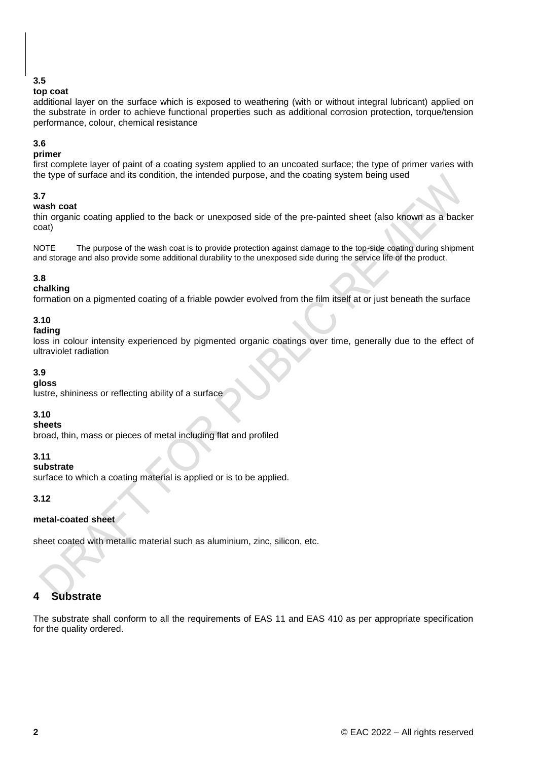# **3.5**

# **top coat**

additional layer on the surface which is exposed to weathering (with or without integral lubricant) applied on the substrate in order to achieve functional properties such as additional corrosion protection, torque/tension performance, colour, chemical resistance

# **3.6**

# **primer**

first complete layer of paint of a coating system applied to an uncoated surface; the type of primer varies with the type of surface and its condition, the intended purpose, and the coating system being used

# **3.7**

#### **wash coat**

thin organic coating applied to the back or unexposed side of the pre-painted sheet (also known as a backer coat)

NOTE The purpose of the wash coat is to provide protection against damage to the top-side coating during shipment and storage and also provide some additional durability to the unexposed side during the service life of the product.

# **3.8**

# **chalking**

formation on a pigmented coating of a friable powder evolved from the film itself at or just beneath the surface

# **3.10**

# **fading**

loss in colour intensity experienced by pigmented organic coatings over time, generally due to the effect of ultraviolet radiation

# **3.9**

# **gloss**

lustre, shininess or reflecting ability of a surface

# **3.10**

# **sheets**

broad, thin, mass or pieces of metal including flat and profiled

# **3.11**

# **substrate**

surface to which a coating material is applied or is to be applied.

# **3.12**

# **metal-coated sheet**

sheet coated with metallic material such as aluminium, zinc, silicon, etc.

# <span id="page-6-0"></span>**4 Substrate**

The substrate shall conform to all the requirements of EAS 11 and EAS 410 as per appropriate specification for the quality ordered.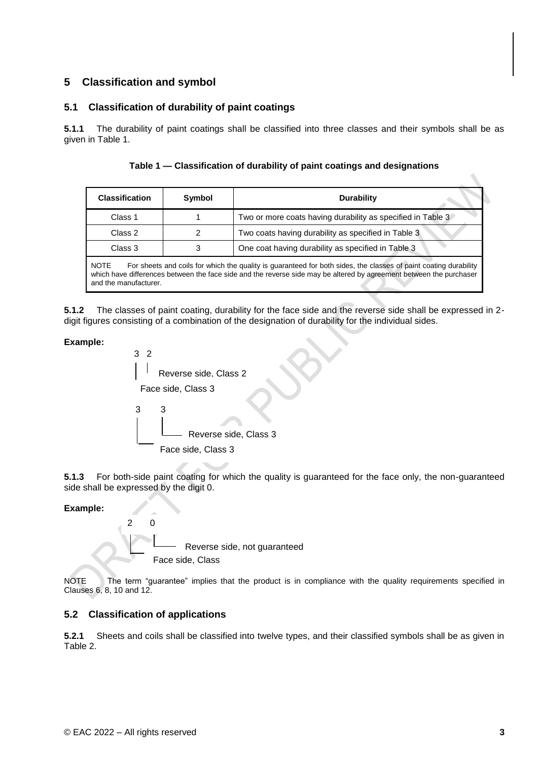# <span id="page-7-0"></span>**5 Classification and symbol**

# <span id="page-7-1"></span>**5.1 Classification of durability of paint coatings**

**5.1.1** The durability of paint coatings shall be classified into three classes and their symbols shall be as given in Table 1.

**Table 1 — Classification of durability of paint coatings and designations**

| <b>Classification</b> | Symbol | <b>Durability</b>                                           |  |
|-----------------------|--------|-------------------------------------------------------------|--|
| Class 1               |        | Two or more coats having durability as specified in Table 3 |  |
| Class 2               |        | Two coats having durability as specified in Table 3         |  |
| Class 3               |        | One coat having durability as specified in Table 3          |  |

NOTE For sheets and coils for which the quality is guaranteed for both sides, the classes of paint coating durability which have differences between the face side and the reverse side may be altered by agreement between the purchaser and the manufacturer.

**5.1.2** The classes of paint coating, durability for the face side and the reverse side shall be expressed in 2 digit figures consisting of a combination of the designation of durability for the individual sides.

# **Example:**



**5.1.3** For both-side paint coating for which the quality is guaranteed for the face only, the non-guaranteed side shall be expressed by the digit 0.

# **Example:**



NOTE The term "guarantee" implies that the product is in compliance with the quality requirements specified in Clauses 6, 8, 10 and 12.

# <span id="page-7-2"></span>**5.2 Classification of applications**

**5.2.1** Sheets and coils shall be classified into twelve types, and their classified symbols shall be as given in Table 2.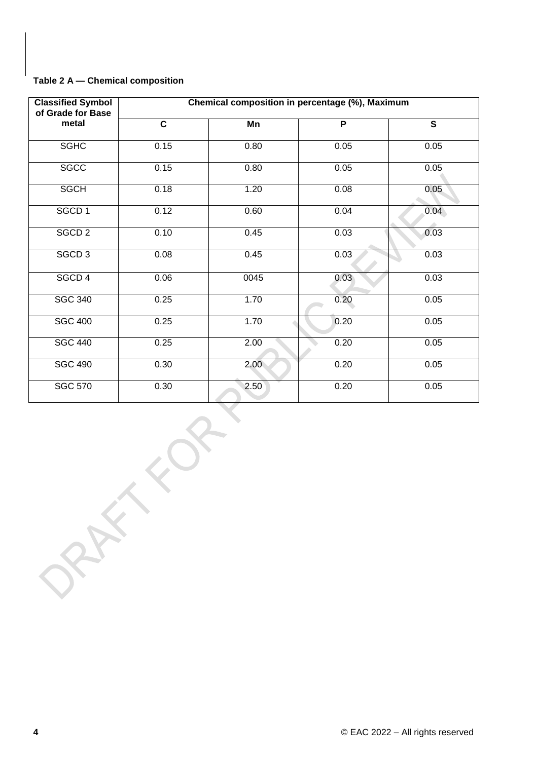# **Table 2 A — Chemical composition**

| <b>Classified Symbol</b><br>of Grade for Base |                         | Chemical composition in percentage (%), Maximum |                |                         |
|-----------------------------------------------|-------------------------|-------------------------------------------------|----------------|-------------------------|
| metal                                         | $\overline{\mathbf{c}}$ | Mn                                              | $\overline{P}$ | $\overline{\mathsf{s}}$ |
| <b>SGHC</b>                                   | 0.15                    | 0.80                                            | 0.05           | 0.05                    |
| <b>SGCC</b>                                   | 0.15                    | 0.80                                            | 0.05           | 0.05                    |
| <b>SGCH</b>                                   | 0.18                    | 1.20                                            | 0.08           | 0.05                    |
| SGCD <sub>1</sub>                             | 0.12                    | 0.60                                            | 0.04           | 0.04                    |
| SGCD <sub>2</sub>                             | 0.10                    | 0.45                                            | 0.03           | 0.03                    |
| SGCD <sub>3</sub>                             | 0.08                    | 0.45                                            | 0.03           | 0.03                    |
| SGCD 4                                        | 0.06                    | 0045                                            | 0.03           | 0.03                    |
| <b>SGC 340</b>                                | 0.25                    | 1.70                                            | 0.20           | 0.05                    |
| <b>SGC 400</b>                                | 0.25                    | 1.70                                            | 0.20           | 0.05                    |
| <b>SGC 440</b>                                | 0.25                    | 2.00                                            | 0.20           | 0.05                    |
| <b>SGC 490</b>                                | 0.30                    | 2.00                                            | 0.20           | 0.05                    |
| <b>SGC 570</b>                                | 0.30                    | 2.50                                            | 0.20           | 0.05                    |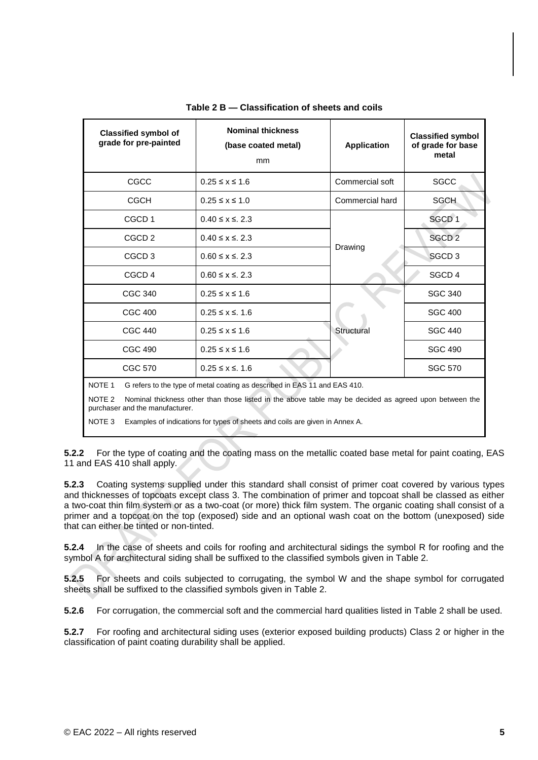| <b>Classified symbol of</b><br>grade for pre-painted                                                                                                           | <b>Nominal thickness</b><br>(base coated metal)<br>mm                        | <b>Application</b> | <b>Classified symbol</b><br>of grade for base<br>metal |  |
|----------------------------------------------------------------------------------------------------------------------------------------------------------------|------------------------------------------------------------------------------|--------------------|--------------------------------------------------------|--|
| CGCC                                                                                                                                                           | $0.25 \le x \le 1.6$                                                         | Commercial soft    | <b>SGCC</b>                                            |  |
| <b>CGCH</b>                                                                                                                                                    | $0.25 \le x \le 1.0$                                                         | Commercial hard    | <b>SGCH</b>                                            |  |
| CGCD <sub>1</sub>                                                                                                                                              | $0.40 \le x \le 2.3$                                                         |                    | SGCD <sub>1</sub>                                      |  |
| CGCD <sub>2</sub>                                                                                                                                              | $0.40 \le x \le 2.3$                                                         |                    | SGCD <sub>2</sub>                                      |  |
| CGCD <sub>3</sub>                                                                                                                                              | $0.60 \le x \le 2.3$                                                         | Drawing            | SGCD <sub>3</sub>                                      |  |
| CGCD <sub>4</sub>                                                                                                                                              | $0.60 \le x \le 2.3$                                                         |                    | SGCD <sub>4</sub>                                      |  |
| CGC 340                                                                                                                                                        | $0.25 \le x \le 1.6$                                                         |                    | <b>SGC 340</b>                                         |  |
| <b>CGC 400</b>                                                                                                                                                 | $0.25 \le x \le 1.6$                                                         |                    | <b>SGC 400</b>                                         |  |
| <b>CGC 440</b>                                                                                                                                                 | Structural<br>$0.25 \le x \le 1.6$<br><b>CGC 490</b><br>$0.25 \le x \le 1.6$ |                    | <b>SGC 440</b>                                         |  |
|                                                                                                                                                                |                                                                              |                    | <b>SGC 490</b>                                         |  |
| CGC 570                                                                                                                                                        | $0.25 \le x \le 1.6$                                                         |                    | <b>SGC 570</b>                                         |  |
| NOTE <sub>1</sub><br>G refers to the type of metal coating as described in EAS 11 and EAS 410.                                                                 |                                                                              |                    |                                                        |  |
| NOTF <sub>2</sub><br>Nominal thickness other than those listed in the above table may be decided as agreed upon between the<br>purchaser and the manufacturer. |                                                                              |                    |                                                        |  |
| Examples of indications for types of sheets and coils are given in Annex A.<br>NOTE <sub>3</sub>                                                               |                                                                              |                    |                                                        |  |

#### **Table 2 B — Classification of sheets and coils**

**5.2.2** For the type of coating and the coating mass on the metallic coated base metal for paint coating, EAS 11 and EAS 410 shall apply.

**5.2.3** Coating systems supplied under this standard shall consist of primer coat covered by various types and thicknesses of topcoats except class 3. The combination of primer and topcoat shall be classed as either a two-coat thin film system or as a two-coat (or more) thick film system. The organic coating shall consist of a primer and a topcoat on the top (exposed) side and an optional wash coat on the bottom (unexposed) side that can either be tinted or non-tinted.

**5.2.4** In the case of sheets and coils for roofing and architectural sidings the symbol R for roofing and the symbol A for architectural siding shall be suffixed to the classified symbols given in Table 2.

**5.2.5** For sheets and coils subjected to corrugating, the symbol W and the shape symbol for corrugated sheets shall be suffixed to the classified symbols given in Table 2.

**5.2.6** For corrugation, the commercial soft and the commercial hard qualities listed in Table 2 shall be used.

**5.2.7** For roofing and architectural siding uses (exterior exposed building products) Class 2 or higher in the classification of paint coating durability shall be applied.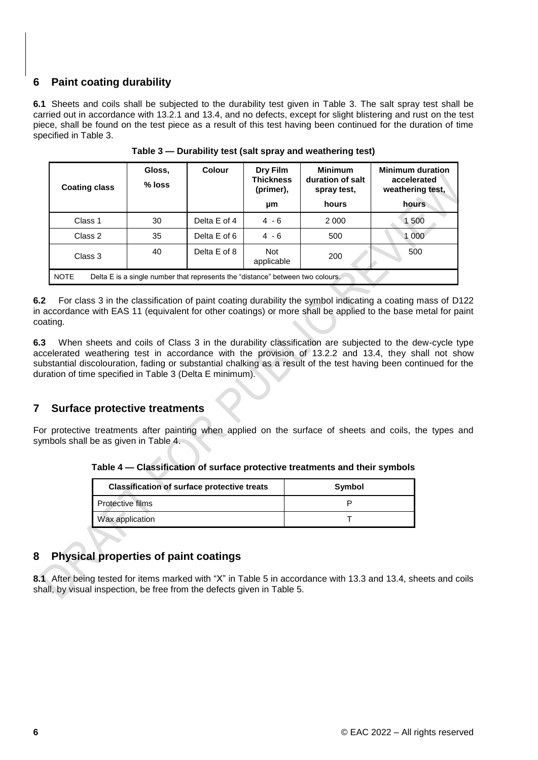# <span id="page-10-0"></span>**6 Paint coating durability**

**6.1** Sheets and coils shall be subjected to the durability test given in Table 3. The salt spray test shall be carried out in accordance with 13.2.1 and 13.4, and no defects, except for slight blistering and rust on the test piece, shall be found on the test piece as a result of this test having been continued for the duration of time specified in Table 3.

| <b>Coating class</b>                                                                          | Gloss,<br>% loss | Colour       | Dry Film<br><b>Thickness</b><br>(primer),<br>μm | <b>Minimum</b><br>duration of salt<br>spray test,<br>hours | <b>Minimum duration</b><br>accelerated<br>weathering test,<br>hours |
|-----------------------------------------------------------------------------------------------|------------------|--------------|-------------------------------------------------|------------------------------------------------------------|---------------------------------------------------------------------|
| Class 1                                                                                       | 30               | Delta E of 4 | $4 - 6$                                         | 2 0 0 0                                                    | 1 500                                                               |
| Class 2                                                                                       | 35               | Delta E of 6 | $4 - 6$                                         | 500                                                        | 1 000                                                               |
| Class 3                                                                                       | 40               | Delta E of 8 | <b>Not</b><br>applicable                        | 200                                                        | 500                                                                 |
| <b>NOTE</b><br>Delta E is a single number that represents the "distance" between two colours. |                  |              |                                                 |                                                            |                                                                     |

**Table 3 — Durability test (salt spray and weathering test)**

**6.2** For class 3 in the classification of paint coating durability the symbol indicating a coating mass of D122 in accordance with EAS 11 (equivalent for other coatings) or more shall be applied to the base metal for paint coating.

**6.3** When sheets and coils of Class 3 in the durability classification are subjected to the dew-cycle type accelerated weathering test in accordance with the provision of 13.2.2 and 13.4, they shall not show substantial discolouration, fading or substantial chalking as a result of the test having been continued for the duration of time specified in Table 3 (Delta E minimum).

# <span id="page-10-1"></span>**7 Surface protective treatments**

For protective treatments after painting when applied on the surface of sheets and coils, the types and symbols shall be as given in Table 4.

**Table 4 — Classification of surface protective treatments and their symbols**

| <b>Classification of surface protective treats</b> | Symbol |  |
|----------------------------------------------------|--------|--|
| Protective films                                   |        |  |
| Wax application                                    |        |  |

# <span id="page-10-2"></span>**8 Physical properties of paint coatings**

**8.1** After being tested for items marked with "X" in Table 5 in accordance with 13.3 and 13.4, sheets and coils shall, by visual inspection, be free from the defects given in Table 5.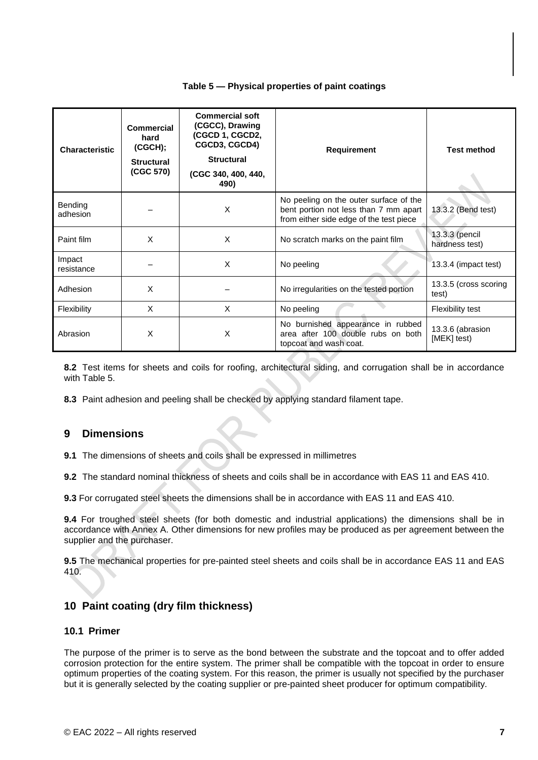# **Table 5 — Physical properties of paint coatings**

| <b>Characteristic</b> | <b>Commercial</b><br>hard<br>(CGCH);<br><b>Structural</b><br>(CGC 570) | <b>Commercial soft</b><br>(CGCC), Drawing<br>(CGCD 1, CGCD2,<br>CGCD3, CGCD4)<br><b>Structural</b><br>(CGC 340, 400, 440,<br>490) | <b>Requirement</b>                                                                                                         | <b>Test method</b>               |
|-----------------------|------------------------------------------------------------------------|-----------------------------------------------------------------------------------------------------------------------------------|----------------------------------------------------------------------------------------------------------------------------|----------------------------------|
| Bending<br>adhesion   |                                                                        | X                                                                                                                                 | No peeling on the outer surface of the<br>bent portion not less than 7 mm apart<br>from either side edge of the test piece | 13.3.2 (Bend test)               |
| Paint film            | X                                                                      | X                                                                                                                                 | No scratch marks on the paint film                                                                                         | 13.3.3 (pencil<br>hardness test) |
| Impact<br>resistance  |                                                                        | X                                                                                                                                 | No peeling                                                                                                                 | 13.3.4 (impact test)             |
| Adhesion              | X                                                                      |                                                                                                                                   | No irregularities on the tested portion                                                                                    | 13.3.5 (cross scoring<br>test)   |
| Flexibility           | $\times$                                                               | X                                                                                                                                 | No peeling                                                                                                                 | Flexibility test                 |
| Abrasion              | X                                                                      | X                                                                                                                                 | No burnished appearance in rubbed<br>area after 100 double rubs on both<br>topcoat and wash coat.                          | 13.3.6 (abrasion<br>[MEK] test)  |

**8.2** Test items for sheets and coils for roofing, architectural siding, and corrugation shall be in accordance with Table 5.

**8.3** Paint adhesion and peeling shall be checked by applying standard filament tape.

# <span id="page-11-0"></span>**9 Dimensions**

**9.1** The dimensions of sheets and coils shall be expressed in millimetres

**9.2** The standard nominal thickness of sheets and coils shall be in accordance with EAS 11 and EAS 410.

**9.3** For corrugated steel sheets the dimensions shall be in accordance with EAS 11 and EAS 410.

**9.4** For troughed steel sheets (for both domestic and industrial applications) the dimensions shall be in accordance with Annex A. Other dimensions for new profiles may be produced as per agreement between the supplier and the purchaser.

**9.5** The mechanical properties for pre-painted steel sheets and coils shall be in accordance EAS 11 and EAS 410.

# <span id="page-11-1"></span>**10 Paint coating (dry film thickness)**

#### <span id="page-11-2"></span>**10.1 Primer**

The purpose of the primer is to serve as the bond between the substrate and the topcoat and to offer added corrosion protection for the entire system. The primer shall be compatible with the topcoat in order to ensure optimum properties of the coating system. For this reason, the primer is usually not specified by the purchaser but it is generally selected by the coating supplier or pre-painted sheet producer for optimum compatibility.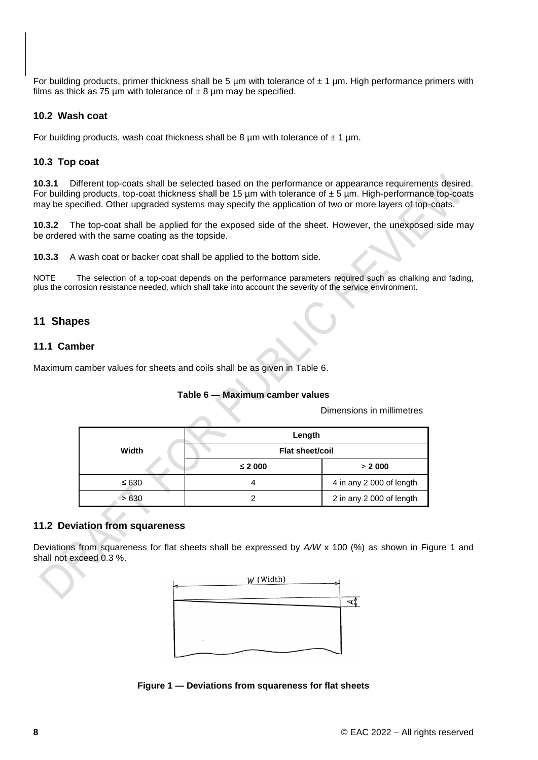For building products, primer thickness shall be 5  $\mu$ m with tolerance of  $\pm$  1  $\mu$ m. High performance primers with films as thick as 75 µm with tolerance of  $\pm 8$  µm may be specified.

# <span id="page-12-0"></span>**10.2 Wash coat**

For building products, wash coat thickness shall be 8  $\mu$ m with tolerance of  $\pm$  1  $\mu$ m.

# <span id="page-12-1"></span>**10.3 Top coat**

**10.3.1** Different top-coats shall be selected based on the performance or appearance requirements desired. For building products, top-coat thickness shall be 15  $\mu$ m with tolerance of  $\pm$  5  $\mu$ m. High-performance top-coats may be specified. Other upgraded systems may specify the application of two or more layers of top-coats.

**10.3.2** The top-coat shall be applied for the exposed side of the sheet. However, the unexposed side may be ordered with the same coating as the topside.

**10.3.3** A wash coat or backer coat shall be applied to the bottom side.

NOTE The selection of a top-coat depends on the performance parameters required such as chalking and fading, plus the corrosion resistance needed, which shall take into account the severity of the service environment.

# <span id="page-12-2"></span>**11 Shapes**

# <span id="page-12-3"></span>**11.1 Camber**

Maximum camber values for sheets and coils shall be as given in Table 6.

# **Table 6 — Maximum camber values**

Dimensions in millimetres

|            | Length          |                          |
|------------|-----------------|--------------------------|
| Width      | Flat sheet/coil |                          |
|            | $≤$ 2 000       | > 2000                   |
| $\leq 630$ |                 | 4 in any 2 000 of length |
| >630       |                 | 2 in any 2 000 of length |

# <span id="page-12-4"></span>**11.2 Deviation from squareness**

Deviations from squareness for flat sheets shall be expressed by *A/W* x 100 (%) as shown in Figure 1 and shall not exceed 0.3 %.



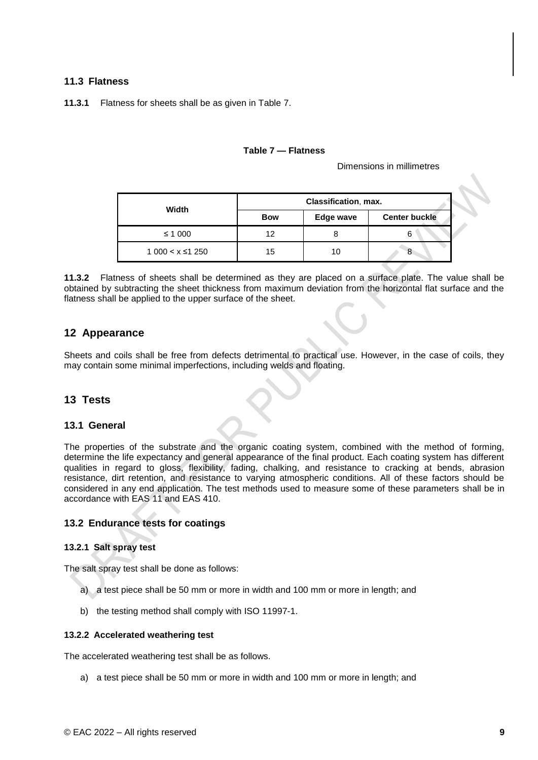# <span id="page-13-0"></span>**11.3 Flatness**

**11.3.1** Flatness for sheets shall be as given in Table 7.

#### **Table 7 — Flatness**

Dimensions in millimetres

| Width               | Classification, max. |           |                      |
|---------------------|----------------------|-----------|----------------------|
|                     | <b>Bow</b>           | Edge wave | <b>Center buckle</b> |
| ≤ 1 000             | 12                   |           |                      |
| $1000 < x \le 1250$ | 15.                  | 10        |                      |

**11.3.2** Flatness of sheets shall be determined as they are placed on a surface plate. The value shall be obtained by subtracting the sheet thickness from maximum deviation from the horizontal flat surface and the flatness shall be applied to the upper surface of the sheet.

# <span id="page-13-1"></span>**12 Appearance**

Sheets and coils shall be free from defects detrimental to practical use. However, in the case of coils, they may contain some minimal imperfections, including welds and floating.

# <span id="page-13-2"></span>**13 Tests**

# <span id="page-13-3"></span>**13.1 General**

The properties of the substrate and the organic coating system, combined with the method of forming, determine the life expectancy and general appearance of the final product. Each coating system has different qualities in regard to gloss, flexibility, fading, chalking, and resistance to cracking at bends, abrasion resistance, dirt retention, and resistance to varying atmospheric conditions. All of these factors should be considered in any end application. The test methods used to measure some of these parameters shall be in accordance with EAS 11 and EAS 410.

# <span id="page-13-4"></span>**13.2 Endurance tests for coatings**

# <span id="page-13-5"></span>**13.2.1 Salt spray test**

The salt spray test shall be done as follows:

- a) a test piece shall be 50 mm or more in width and 100 mm or more in length; and
- b) the testing method shall comply with ISO 11997-1.

#### <span id="page-13-6"></span>**13.2.2 Accelerated weathering test**

The accelerated weathering test shall be as follows.

a) a test piece shall be 50 mm or more in width and 100 mm or more in length; and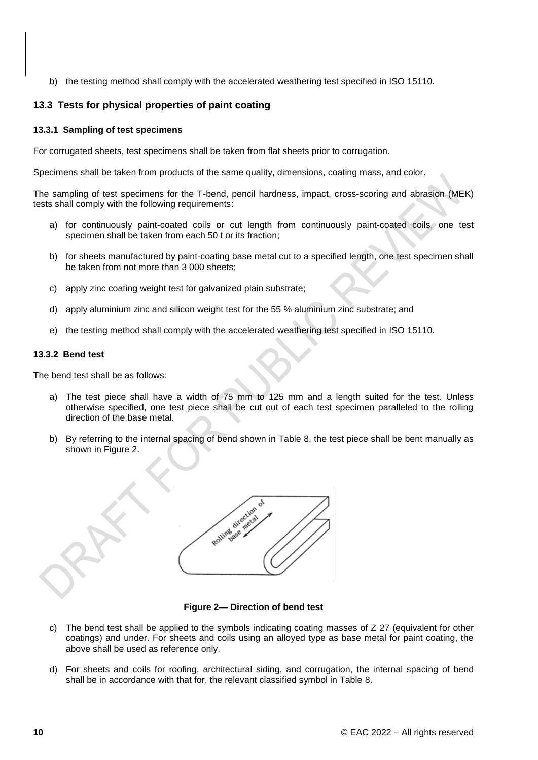b) the testing method shall comply with the accelerated weathering test specified in ISO 15110.

# <span id="page-14-0"></span>**13.3 Tests for physical properties of paint coating**

#### <span id="page-14-1"></span>**13.3.1 Sampling of test specimens**

For corrugated sheets, test specimens shall be taken from flat sheets prior to corrugation.

Specimens shall be taken from products of the same quality, dimensions, coating mass, and color.

The sampling of test specimens for the T-bend, pencil hardness, impact, cross-scoring and abrasion (MEK) tests shall comply with the following requirements:

- a) for continuously paint-coated coils or cut length from continuously paint-coated coils, one test specimen shall be taken from each 50 t or its fraction;
- b) for sheets manufactured by paint-coating base metal cut to a specified length, one test specimen shall be taken from not more than 3 000 sheets;
- c) apply zinc coating weight test for galvanized plain substrate;
- d) apply aluminium zinc and silicon weight test for the 55 % aluminium zinc substrate; and
- e) the testing method shall comply with the accelerated weathering test specified in ISO 15110.

#### <span id="page-14-2"></span>**13.3.2 Bend test**

The bend test shall be as follows:

- a) The test piece shall have a width of 75 mm to 125 mm and a length suited for the test. Unless otherwise specified, one test piece shall be cut out of each test specimen paralleled to the rolling direction of the base metal.
- b) By referring to the internal spacing of bend shown in Table 8, the test piece shall be bent manually as shown in Figure 2.



**Figure 2— Direction of bend test**

- c) The bend test shall be applied to the symbols indicating coating masses of  $Z$  27 (equivalent for other coatings) and under. For sheets and coils using an alloyed type as base metal for paint coating, the above shall be used as reference only.
- d) For sheets and coils for roofing, architectural siding, and corrugation, the internal spacing of bend shall be in accordance with that for, the relevant classified symbol in Table 8.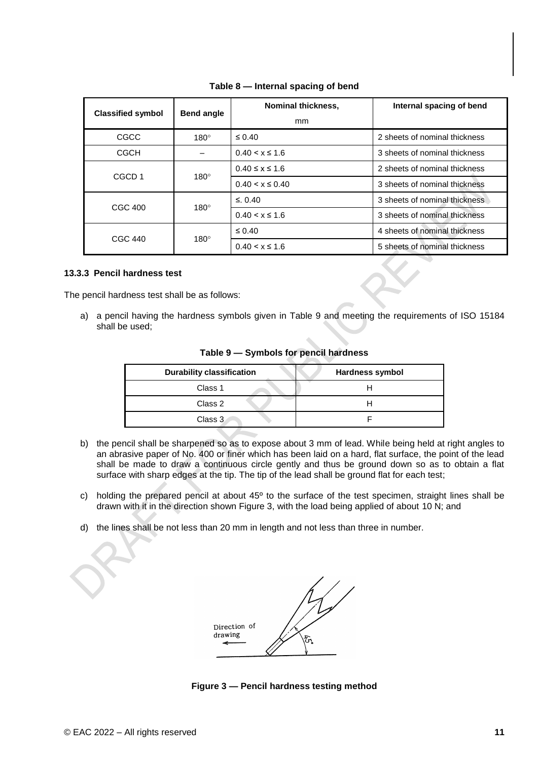| <b>Classified symbol</b> | <b>Bend angle</b> | <b>Nominal thickness,</b><br>mm | Internal spacing of bend      |
|--------------------------|-------------------|---------------------------------|-------------------------------|
| CGCC                     | $180^\circ$       | $\leq 0.40$                     | 2 sheets of nominal thickness |
| <b>CGCH</b>              |                   | $0.40 < x \le 1.6$              | 3 sheets of nominal thickness |
| CGCD <sub>1</sub>        |                   | $0.40 \le x \le 1.6$            | 2 sheets of nominal thickness |
| $180^\circ$              |                   | $0.40 \le x \le 0.40$           | 3 sheets of nominal thickness |
| CGC 400                  |                   | $\leq$ 0.40                     | 3 sheets of nominal thickness |
|                          | $180^\circ$       | $0.40 < x \le 1.6$              | 3 sheets of nominal thickness |
| CGC 440                  | $180^\circ$       | $\leq 0.40$                     | 4 sheets of nominal thickness |
|                          |                   | $0.40 \le x \le 1.6$            | 5 sheets of nominal thickness |

# **Table 8 — Internal spacing of bend**

#### <span id="page-15-0"></span>**13.3.3 Pencil hardness test**

The pencil hardness test shall be as follows:

a) a pencil having the hardness symbols given in Table 9 and meeting the requirements of ISO 15184 shall be used;

| <b>Durability classification</b> | <b>Hardness symbol</b> |
|----------------------------------|------------------------|
| Class 1                          |                        |
| Class 2                          |                        |
| Class 3                          |                        |

**Table 9 — Symbols for pencil hardness**

- b) the pencil shall be sharpened so as to expose about 3 mm of lead. While being held at right angles to an abrasive paper of No. 400 or finer which has been laid on a hard, flat surface, the point of the lead shall be made to draw a continuous circle gently and thus be ground down so as to obtain a flat surface with sharp edges at the tip. The tip of the lead shall be ground flat for each test;
- c) holding the prepared pencil at about 45º to the surface of the test specimen, straight lines shall be drawn with it in the direction shown Figure 3, with the load being applied of about 10 N; and
- d) the lines shall be not less than 20 mm in length and not less than three in number.



**Figure 3 — Pencil hardness testing method**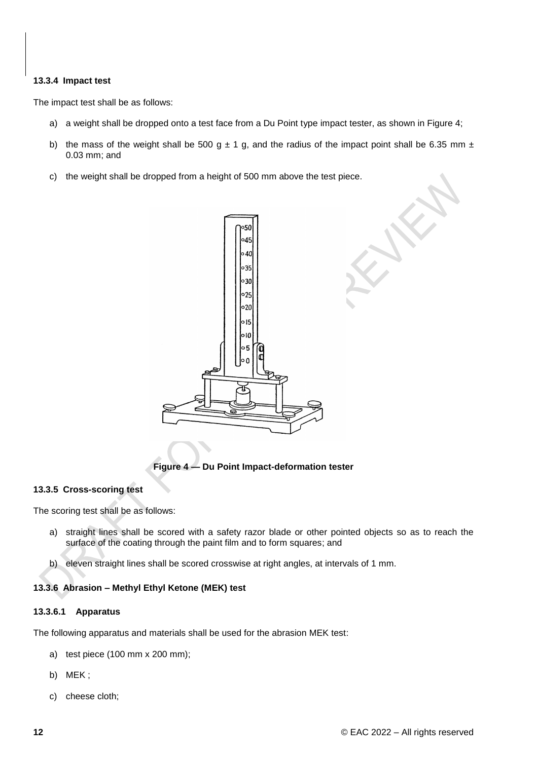# <span id="page-16-0"></span>**13.3.4 Impact test**

The impact test shall be as follows:

- a) a weight shall be dropped onto a test face from a Du Point type impact tester, as shown in Figure 4;
- b) the mass of the weight shall be 500 g  $\pm$  1 g, and the radius of the impact point shall be 6.35 mm  $\pm$ 0.03 mm; and
- c) the weight shall be dropped from a height of 500 mm above the test piece.



**Figure 4 — Du Point Impact-deformation tester**

# <span id="page-16-1"></span>**13.3.5 Cross-scoring test**

The scoring test shall be as follows:

- a) straight lines shall be scored with a safety razor blade or other pointed objects so as to reach the surface of the coating through the paint film and to form squares; and
- b) eleven straight lines shall be scored crosswise at right angles, at intervals of 1 mm.

# <span id="page-16-2"></span>**13.3.6 Abrasion – Methyl Ethyl Ketone (MEK) test**

# **13.3.6.1 Apparatus**

The following apparatus and materials shall be used for the abrasion MEK test:

- a) test piece (100 mm x 200 mm);
- b) MEK ;
- c) cheese cloth;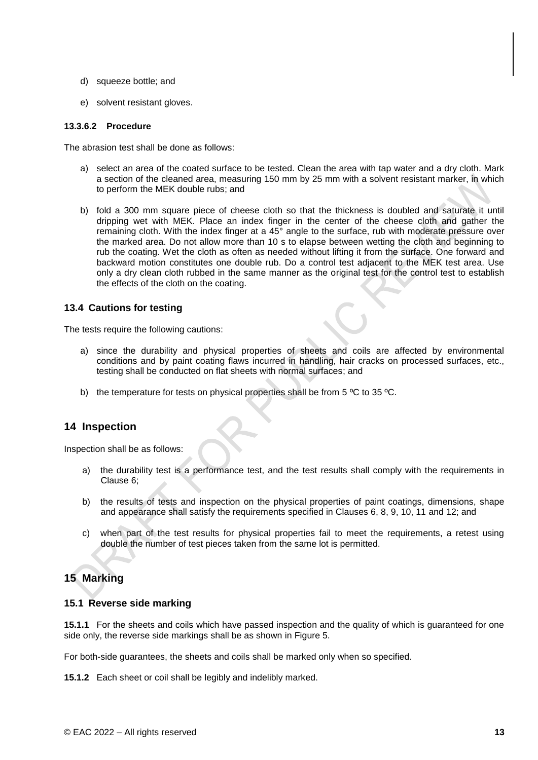- d) squeeze bottle; and
- e) solvent resistant gloves.

#### **13.3.6.2 Procedure**

The abrasion test shall be done as follows:

- a) select an area of the coated surface to be tested. Clean the area with tap water and a dry cloth. Mark a section of the cleaned area, measuring 150 mm by 25 mm with a solvent resistant marker, in which to perform the MEK double rubs; and
- b) fold a 300 mm square piece of cheese cloth so that the thickness is doubled and saturate it until dripping wet with MEK. Place an index finger in the center of the cheese cloth and gather the remaining cloth. With the index finger at a 45° angle to the surface, rub with moderate pressure over the marked area. Do not allow more than 10 s to elapse between wetting the cloth and beginning to rub the coating. Wet the cloth as often as needed without lifting it from the surface. One forward and backward motion constitutes one double rub. Do a control test adjacent to the MEK test area. Use only a dry clean cloth rubbed in the same manner as the original test for the control test to establish the effects of the cloth on the coating.

# <span id="page-17-0"></span>**13.4 Cautions for testing**

The tests require the following cautions:

- a) since the durability and physical properties of sheets and coils are affected by environmental conditions and by paint coating flaws incurred in handling, hair cracks on processed surfaces, etc., testing shall be conducted on flat sheets with normal surfaces; and
- b) the temperature for tests on physical properties shall be from  $5 \degree C$  to  $35 \degree C$ .

# <span id="page-17-1"></span>**14 Inspection**

Inspection shall be as follows:

- a) the durability test is a performance test, and the test results shall comply with the requirements in Clause 6;
- b) the results of tests and inspection on the physical properties of paint coatings, dimensions, shape and appearance shall satisfy the requirements specified in Clauses 6, 8, 9, 10, 11 and 12; and
- c) when part of the test results for physical properties fail to meet the requirements, a retest using double the number of test pieces taken from the same lot is permitted.

# <span id="page-17-2"></span>**15 Marking**

# <span id="page-17-3"></span>**15.1 Reverse side marking**

**15.1.1** For the sheets and coils which have passed inspection and the quality of which is guaranteed for one side only, the reverse side markings shall be as shown in Figure 5.

For both-side guarantees, the sheets and coils shall be marked only when so specified.

**15.1.2** Each sheet or coil shall be legibly and indelibly marked.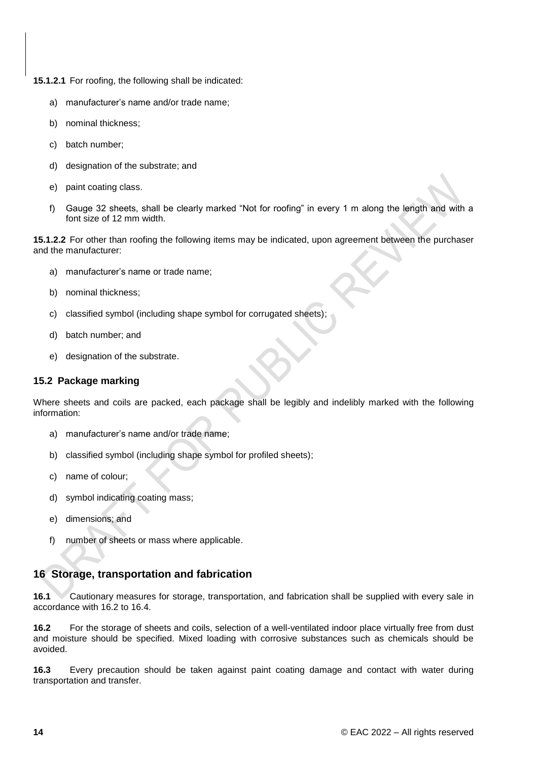**15.1.2.1** For roofing, the following shall be indicated:

- a) manufacturer's name and/or trade name;
- b) nominal thickness;
- c) batch number;
- d) designation of the substrate; and
- e) paint coating class.
- f) Gauge 32 sheets, shall be clearly marked "Not for roofing" in every 1 m along the length and with a font size of 12 mm width.

**15.1.2.2** For other than roofing the following items may be indicated, upon agreement between the purchaser and the manufacturer:

- a) manufacturer's name or trade name;
- b) nominal thickness;
- c) classified symbol (including shape symbol for corrugated sheets);
- d) batch number; and
- e) designation of the substrate.

# <span id="page-18-0"></span>**15.2 Package marking**

Where sheets and coils are packed, each package shall be legibly and indelibly marked with the following information:

- a) manufacturer's name and/or trade name;
- b) classified symbol (including shape symbol for profiled sheets);
- c) name of colour;
- d) symbol indicating coating mass;
- e) dimensions; and
- f) number of sheets or mass where applicable.

# <span id="page-18-1"></span>**16 Storage, transportation and fabrication**

**16.1** Cautionary measures for storage, transportation, and fabrication shall be supplied with every sale in accordance with 16.2 to 16.4.

**16.2** For the storage of sheets and coils, selection of a well-ventilated indoor place virtually free from dust and moisture should be specified. Mixed loading with corrosive substances such as chemicals should be avoided.

**16.3** Every precaution should be taken against paint coating damage and contact with water during transportation and transfer.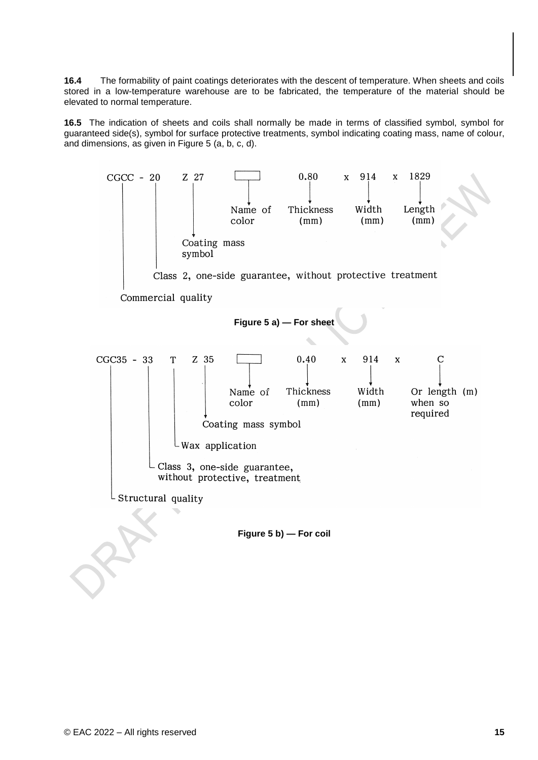**16.4** The formability of paint coatings deteriorates with the descent of temperature. When sheets and coils stored in a low-temperature warehouse are to be fabricated, the temperature of the material should be elevated to normal temperature.

**16.5** The indication of sheets and coils shall normally be made in terms of classified symbol, symbol for guaranteed side(s), symbol for surface protective treatments, symbol indicating coating mass, name of colour, and dimensions, as given in Figure 5 (a, b, c, d).

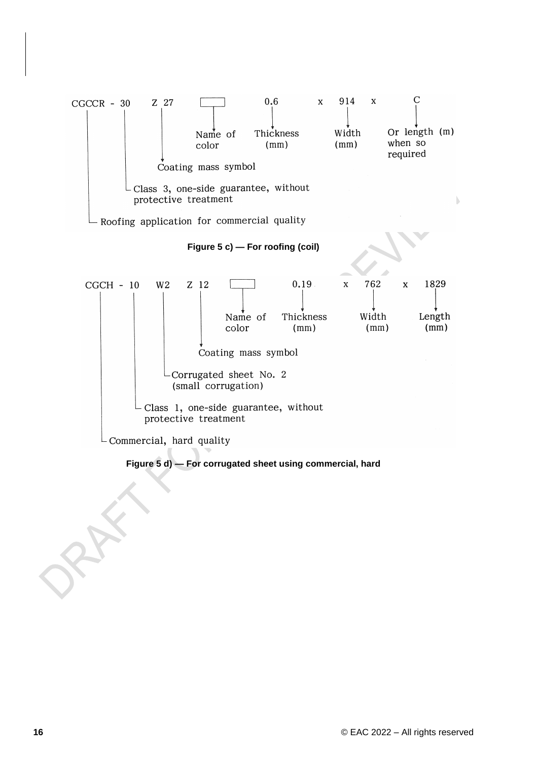

**Figure 5 d) — For corrugated sheet using commercial, hard**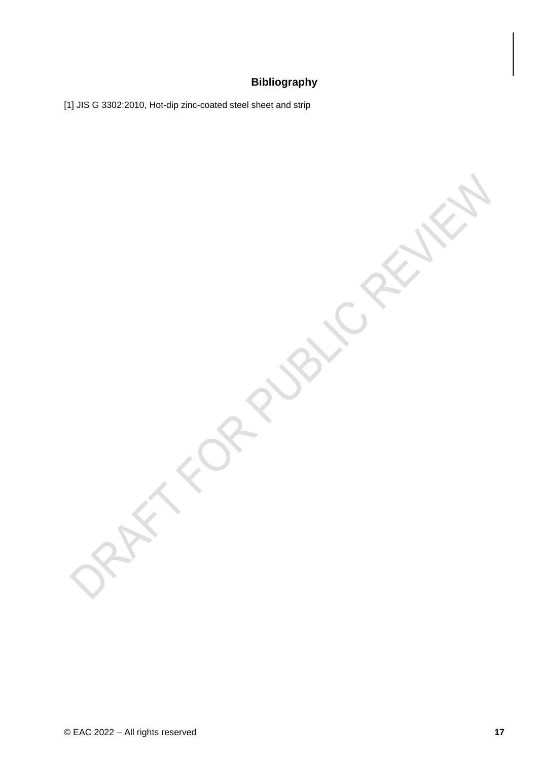# **Bibliography**

[1] JIS G 3302:2010, Hot-dip zinc-coated steel sheet and strip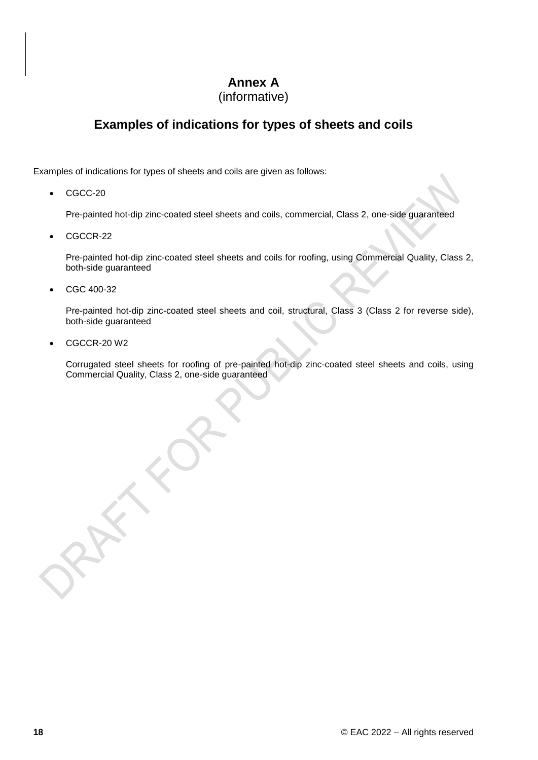# **Annex A**

# (informative)

# <span id="page-22-0"></span>**Examples of indications for types of sheets and coils**

Examples of indications for types of sheets and coils are given as follows:

 $\bullet$  CGCC-20

Pre-painted hot-dip zinc-coated steel sheets and coils, commercial, Class 2, one-side guaranteed

CGCCR-22

Pre-painted hot-dip zinc-coated steel sheets and coils for roofing, using Commercial Quality, Class 2, both-side guaranteed

CGC 400-32

Pre-painted hot-dip zinc-coated steel sheets and coil, structural, Class 3 (Class 2 for reverse side), both-side guaranteed

CGCCR-20 W2

Corrugated steel sheets for roofing of pre-painted hot-dip zinc-coated steel sheets and coils, using Commercial Quality, Class 2, one-side guaranteed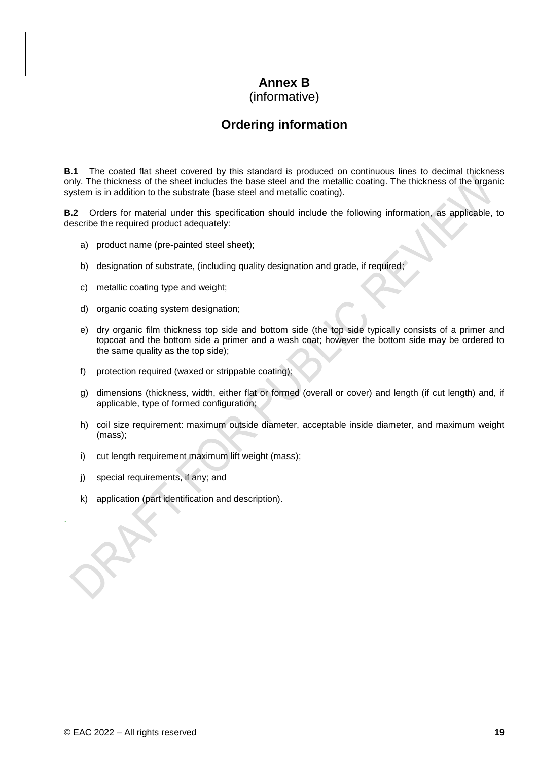# **Annex B**

(informative)

# **Ordering information**

<span id="page-23-0"></span>**B.1** The coated flat sheet covered by this standard is produced on continuous lines to decimal thickness only. The thickness of the sheet includes the base steel and the metallic coating. The thickness of the organic system is in addition to the substrate (base steel and metallic coating).

**B.2** Orders for material under this specification should include the following information, as applicable, to describe the required product adequately:

- a) product name (pre-painted steel sheet);
- b) designation of substrate, (including quality designation and grade, if required;
- c) metallic coating type and weight;
- d) organic coating system designation;
- e) dry organic film thickness top side and bottom side (the top side typically consists of a primer and topcoat and the bottom side a primer and a wash coat; however the bottom side may be ordered to the same quality as the top side);
- f) protection required (waxed or strippable coating);
- g) dimensions (thickness, width, either flat or formed (overall or cover) and length (if cut length) and, if applicable, type of formed configuration;
- h) coil size requirement: maximum outside diameter, acceptable inside diameter, and maximum weight (mass);
- i) cut length requirement maximum lift weight (mass);
- j) special requirements, if any; and

.

k) application (part identification and description).